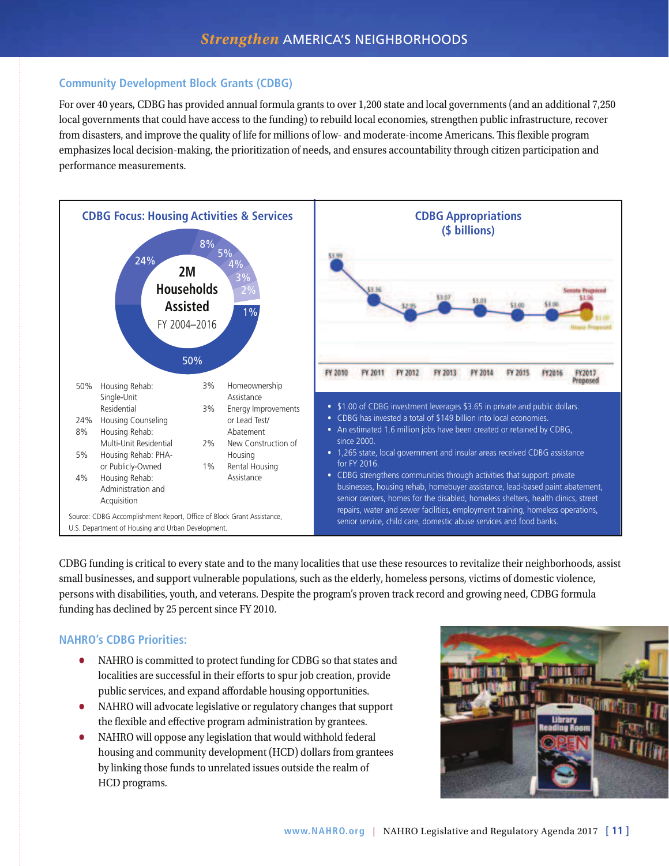## **Community Development Block Grants (CDBG)**

For over 40 years, CDBG has provided annual formula grants to over 1,200 state and local governments (and an additional 7,250 local governments that could have access to the funding) to rebuild local economies, strengthen public infrastructure, recover from disasters, and improve the quality of life for millions of low- and moderate-income Americans. This flexible program emphasizes local decision-making, the prioritization of needs, and ensures accountability through citizen participation and performance measurements.



CDBG funding is critical to every state and to the many localities that use these resources to revitalize their neighborhoods, assist small businesses, and support vulnerable populations, such as the elderly, homeless persons, victims of domestic violence, persons with disabilities, youth, and veterans. Despite the program's proven track record and growing need, CDBG formula funding has declined by 25 percent since FY 2010.

### **NAHRO's CDBG Priorities:**

- NAHRO is committed to protect funding for CDBG so that states and localities are successful in their efforts to spur job creation, provide public services, and expand affordable housing opportunities.
- NAHRO will advocate legislative or regulatory changes that support the flexible and effective program administration by grantees.
- NAHRO will oppose any legislation that would withhold federal housing and community development (HCD) dollars from grantees by linking those funds to unrelated issues outside the realm of HCD programs.